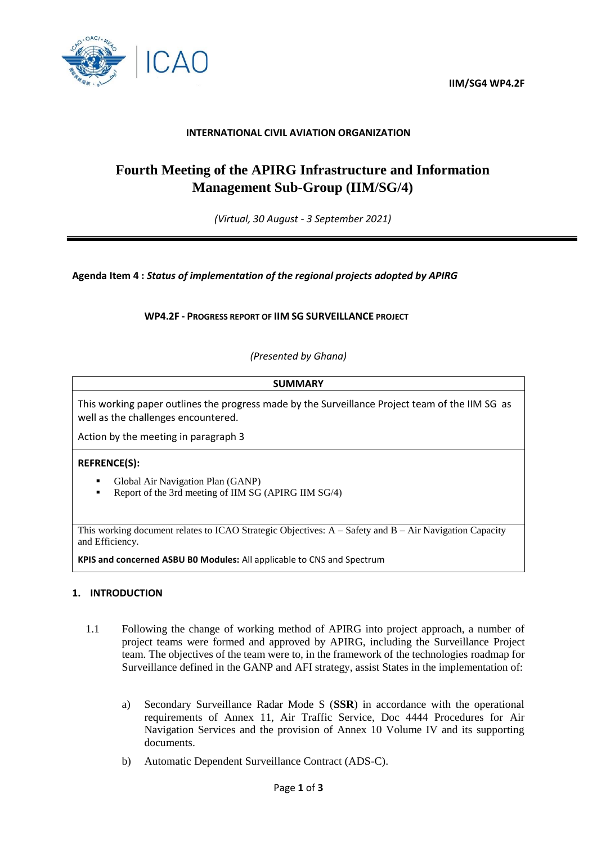**IIM/SG4 WP4.2F**



## **INTERNATIONAL CIVIL AVIATION ORGANIZATION**

# **Fourth Meeting of the APIRG Infrastructure and Information Management Sub-Group (IIM/SG/4)**

*(Virtual, 30 August - 3 September 2021)*

**Agenda Item 4 :** *Status of implementation of the regional projects adopted by APIRG* 

**WP4.2F - PROGRESS REPORT OF IIM SG SURVEILLANCE PROJECT**

*(Presented by Ghana)*

**SUMMARY** This working paper outlines the progress made by the Surveillance Project team of the IIM SG as well as the challenges encountered. Action by the meeting in paragraph 3 **REFRENCE(S):**  Global Air Navigation Plan (GANP) Report of the 3rd meeting of IIM SG (APIRG IIM SG/4) This working document relates to ICAO Strategic Objectives: A – Safety and B – Air Navigation Capacity and Efficiency.

**KPIS and concerned ASBU B0 Modules:** All applicable to CNS and Spectrum

#### **1. INTRODUCTION**

- 1.1 Following the change of working method of APIRG into project approach, a number of project teams were formed and approved by APIRG, including the Surveillance Project team. The objectives of the team were to, in the framework of the technologies roadmap for Surveillance defined in the GANP and AFI strategy, assist States in the implementation of:
	- a) Secondary Surveillance Radar Mode S (**SSR**) in accordance with the operational requirements of Annex 11, Air Traffic Service, Doc 4444 Procedures for Air Navigation Services and the provision of Annex 10 Volume IV and its supporting documents.
	- b) Automatic Dependent Surveillance Contract (ADS-C).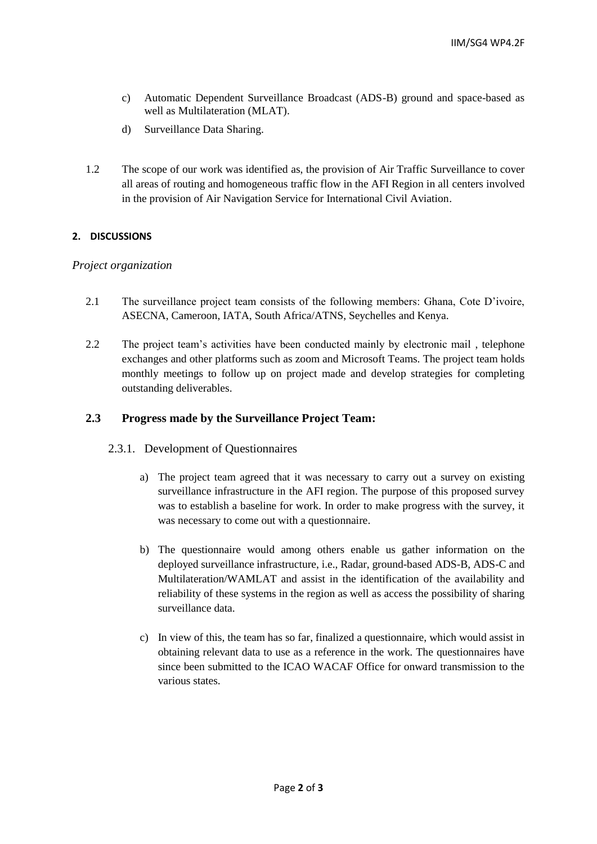- c) Automatic Dependent Surveillance Broadcast (ADS-B) ground and space-based as well as Multilateration (MLAT).
- d) Surveillance Data Sharing.
- 1.2 The scope of our work was identified as, the provision of Air Traffic Surveillance to cover all areas of routing and homogeneous traffic flow in the AFI Region in all centers involved in the provision of Air Navigation Service for International Civil Aviation.

### **2. DISCUSSIONS**

#### *Project organization*

- 2.1 The surveillance project team consists of the following members: Ghana, Cote D'ivoire, ASECNA, Cameroon, IATA, South Africa/ATNS, Seychelles and Kenya.
- 2.2 The project team's activities have been conducted mainly by electronic mail , telephone exchanges and other platforms such as zoom and Microsoft Teams. The project team holds monthly meetings to follow up on project made and develop strategies for completing outstanding deliverables.

## **2.3 Progress made by the Surveillance Project Team:**

#### 2.3.1. Development of Questionnaires

- a) The project team agreed that it was necessary to carry out a survey on existing surveillance infrastructure in the AFI region. The purpose of this proposed survey was to establish a baseline for work. In order to make progress with the survey, it was necessary to come out with a questionnaire.
- b) The questionnaire would among others enable us gather information on the deployed surveillance infrastructure, i.e., Radar, ground-based ADS-B, ADS-C and Multilateration/WAMLAT and assist in the identification of the availability and reliability of these systems in the region as well as access the possibility of sharing surveillance data.
- c) In view of this, the team has so far, finalized a questionnaire, which would assist in obtaining relevant data to use as a reference in the work. The questionnaires have since been submitted to the ICAO WACAF Office for onward transmission to the various states.